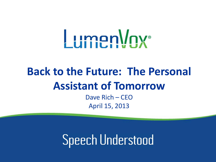# *LumenVnx*

# **Back to the Future: The Personal Assistant of Tomorrow**

Dave Rich – CEO April 15, 2013

**Speech Understood**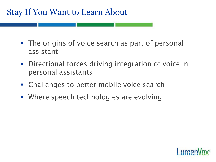### Stay If You Want to Learn About

- **The origins of voice search as part of personal** assistant
- **•** Directional forces driving integration of voice in personal assistants
- **EXALLED EXALLED FIGHTE CHALLED FIGHTED FIGHTED FIGHTED FIGHTED FIGHTED FIGHTED FIGHTED FIGHTED FIGHTED FIGHTED FIGHTED FIGHTED FIGHTED FIGHTED FIGHTED FIGHTED FIGHTED FIGHTED FIGHTED FIGHTED FIGHTED FIGHTED FIGHTED FIGHTE**
- Where speech technologies are evolving

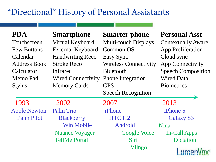# "Directional" History of Personal Assistants

| <b>PDA</b>          | <b>Smartphone</b>         | <b>Smarter phone</b>         | <b>Personal Asst</b>      |
|---------------------|---------------------------|------------------------------|---------------------------|
| Touchscreen         | Virtual Keyboard          | <b>Multi-touch Displays</b>  | <b>Contextually Aware</b> |
| <b>Few Buttons</b>  | <b>External Keyboard</b>  | <b>Common OS</b>             | <b>App Proliferation</b>  |
| Calendar            | <b>Handwriting Reco</b>   | Easy Sync                    | Cloud sync                |
| <b>Address Book</b> | <b>Stroke Reco</b>        | <b>Wireless Connectivity</b> | <b>App Connectivity</b>   |
| Calculator          | Infrared                  | <b>Bluetooth</b>             | <b>Speech Composition</b> |
| Memo Pad            | <b>Wired Connectivity</b> | <b>Phone Integration</b>     | <b>Wired Data</b>         |
| <b>Stylus</b>       | <b>Memory Cards</b>       | <b>GPS</b>                   | <b>Biometrics</b>         |
|                     |                           | <b>Speech Recognition</b>    |                           |
| 1993                | 2002                      | 2007                         | 2013                      |
| <b>Apple Newton</b> | <b>Palm Trio</b>          | iPhone                       | iPhone 5                  |
| <b>Palm Pilot</b>   | <b>Blackberry</b>         | HTC H <sub>2</sub>           | <b>Galaxy S3</b>          |
|                     | Win Mobile                | Android                      | Nina                      |
|                     | <b>Nuance Voyager</b>     | <b>Google Voice</b>          | In-Call Apps              |
|                     | <b>TellMe Portal</b>      | Siri                         | <b>Dictation</b>          |
|                     |                           | Vlingo                       | <b>Limer</b>              |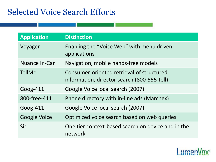## Selected Voice Search Efforts

| <b>Application</b>  | <b>Distinction</b>                                                                       |
|---------------------|------------------------------------------------------------------------------------------|
| Voyager             | Enabling the "Voice Web" with menu driven<br>applications                                |
| Nuance In-Car       | Navigation, mobile hands-free models                                                     |
| <b>TellMe</b>       | Consumer-oriented retrieval of structured<br>information, director search (800-555-tell) |
| Goog- $411$         | Google Voice local search (2007)                                                         |
| 800-free-411        | Phone directory with in-line ads (Marchex)                                               |
| Goog- $411$         | Google Voice local search (2007)                                                         |
| <b>Google Voice</b> | Optimized voice search based on web queries                                              |
| Siri                | One tier context-based search on device and in the<br>network                            |

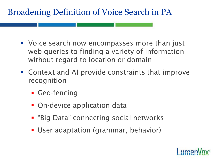# Broadening Definition of Voice Search in PA

- Voice search now encompasses more than just web queries to finding a variety of information without regard to location or domain
- Context and AI provide constraints that improve recognition
	- **Geo-fencing**
	- **On-device application data**
	- **E** "Big Data" connecting social networks
	- User adaptation (grammar, behavior)

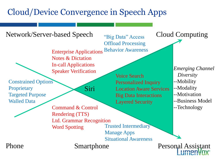# Cloud/Device Convergence in Speech Apps

Network/Server-based Speech  $\alpha_{\text{Rio Data}}$  Access Cloud Computing Enterprise Applications Notes & Dictation In-call Applications Speaker Verification "Big Data" Access Offload Processing Behavior Awareness

Constrained Options **Proprietary** Targeted Purpose Walled Data

Siri

Command & Control Rendering (TTS) Ltd. Grammar Recognition Word Spotting Trusted Intermediary Manage Apps

Voice Search Personalized Inquiry Location Aware Services Big Data Interactions Layered Security

Situational Awareness

*Emerging Channel Diversity* --Mobility --Modality

--Motivation

--Business Model

--Technology

Smartphone

Phone Smartphone Personal Assistant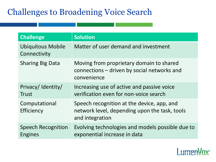# Challenges to Broadening Voice Search

| <b>Challenge</b>                         | <b>Solution</b>                                                                                                |
|------------------------------------------|----------------------------------------------------------------------------------------------------------------|
| <b>Ubiquitous Mobile</b><br>Connectivity | Matter of user demand and investment                                                                           |
| <b>Sharing Big Data</b>                  | Moving from proprietary domain to shared<br>connections - driven by social networks and<br>convenience         |
| Privacy/Identity/<br><b>Trust</b>        | Increasing use of active and passive voice<br>verification even for non-voice search                           |
| Computational<br>Efficiency              | Speech recognition at the device, app, and<br>network level, depending upon the task, tools<br>and integration |
| <b>Speech Recognition</b><br>Engines     | Evolving technologies and models possible due to<br>exponential increase in data                               |

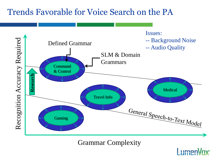#### Trends Favorable for Voice Search on the PA



Grammar Complexity

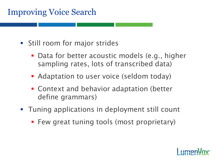# Improving Voice Search

- **Still room for major strides** 
	- **Data for better acoustic models (e.g., higher** sampling rates, lots of transcribed data)
	- **Adaptation to user voice (seldom today)**
	- Context and behavior adaptation (better define grammars)
- **Tuning applications in deployment still count** 
	- **Few great tuning tools (most proprietary)**